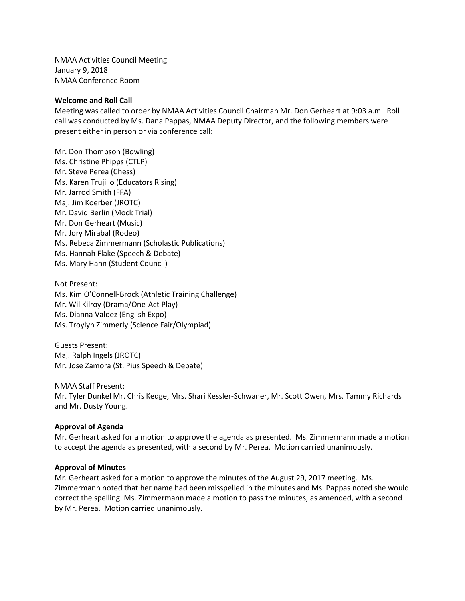NMAA Activities Council Meeting January 9, 2018 NMAA Conference Room

#### **Welcome and Roll Call**

Meeting was called to order by NMAA Activities Council Chairman Mr. Don Gerheart at 9:03 a.m. Roll call was conducted by Ms. Dana Pappas, NMAA Deputy Director, and the following members were present either in person or via conference call:

Mr. Don Thompson (Bowling) Ms. Christine Phipps (CTLP) Mr. Steve Perea (Chess) Ms. Karen Trujillo (Educators Rising) Mr. Jarrod Smith (FFA) Maj. Jim Koerber (JROTC) Mr. David Berlin (Mock Trial) Mr. Don Gerheart (Music) Mr. Jory Mirabal (Rodeo) Ms. Rebeca Zimmermann (Scholastic Publications) Ms. Hannah Flake (Speech & Debate) Ms. Mary Hahn (Student Council)

Not Present: Ms. Kim O'Connell-Brock (Athletic Training Challenge) Mr. Wil Kilroy (Drama/One-Act Play) Ms. Dianna Valdez (English Expo) Ms. Troylyn Zimmerly (Science Fair/Olympiad)

Guests Present: Maj. Ralph Ingels (JROTC) Mr. Jose Zamora (St. Pius Speech & Debate)

NMAA Staff Present:

Mr. Tyler Dunkel Mr. Chris Kedge, Mrs. Shari Kessler-Schwaner, Mr. Scott Owen, Mrs. Tammy Richards and Mr. Dusty Young.

#### **Approval of Agenda**

Mr. Gerheart asked for a motion to approve the agenda as presented. Ms. Zimmermann made a motion to accept the agenda as presented, with a second by Mr. Perea. Motion carried unanimously.

#### **Approval of Minutes**

Mr. Gerheart asked for a motion to approve the minutes of the August 29, 2017 meeting. Ms. Zimmermann noted that her name had been misspelled in the minutes and Ms. Pappas noted she would correct the spelling. Ms. Zimmermann made a motion to pass the minutes, as amended, with a second by Mr. Perea. Motion carried unanimously.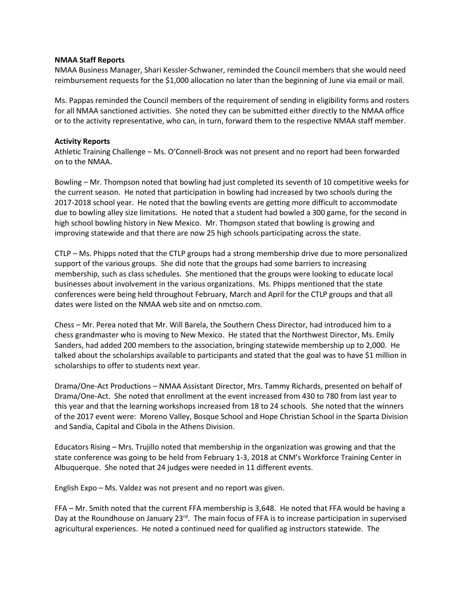#### **NMAA Staff Reports**

NMAA Business Manager, Shari Kessler-Schwaner, reminded the Council members that she would need reimbursement requests for the \$1,000 allocation no later than the beginning of June via email or mail.

Ms. Pappas reminded the Council members of the requirement of sending in eligibility forms and rosters for all NMAA sanctioned activities. She noted they can be submitted either directly to the NMAA office or to the activity representative, who can, in turn, forward them to the respective NMAA staff member.

# **Activity Reports**

Athletic Training Challenge – Ms. O'Connell-Brock was not present and no report had been forwarded on to the NMAA.

Bowling – Mr. Thompson noted that bowling had just completed its seventh of 10 competitive weeks for the current season. He noted that participation in bowling had increased by two schools during the 2017-2018 school year. He noted that the bowling events are getting more difficult to accommodate due to bowling alley size limitations. He noted that a student had bowled a 300 game, for the second in high school bowling history in New Mexico. Mr. Thompson stated that bowling is growing and improving statewide and that there are now 25 high schools participating across the state.

CTLP – Ms. Phipps noted that the CTLP groups had a strong membership drive due to more personalized support of the various groups. She did note that the groups had some barriers to increasing membership, such as class schedules. She mentioned that the groups were looking to educate local businesses about involvement in the various organizations. Ms. Phipps mentioned that the state conferences were being held throughout February, March and April for the CTLP groups and that all dates were listed on the NMAA web site and on nmctso.com.

Chess – Mr. Perea noted that Mr. Will Barela, the Southern Chess Director, had introduced him to a chess grandmaster who is moving to New Mexico. He stated that the Northwest Director, Ms. Emily Sanders, had added 200 members to the association, bringing statewide membership up to 2,000. He talked about the scholarships available to participants and stated that the goal was to have \$1 million in scholarships to offer to students next year.

Drama/One-Act Productions – NMAA Assistant Director, Mrs. Tammy Richards, presented on behalf of Drama/One-Act. She noted that enrollment at the event increased from 430 to 780 from last year to this year and that the learning workshops increased from 18 to 24 schools. She noted that the winners of the 2017 event were: Moreno Valley, Bosque School and Hope Christian School in the Sparta Division and Sandia, Capital and Cibola in the Athens Division.

Educators Rising – Mrs. Trujillo noted that membership in the organization was growing and that the state conference was going to be held from February 1-3, 2018 at CNM's Workforce Training Center in Albuquerque. She noted that 24 judges were needed in 11 different events.

English Expo – Ms. Valdez was not present and no report was given.

FFA – Mr. Smith noted that the current FFA membership is 3,648. He noted that FFA would be having a Day at the Roundhouse on January 23<sup>rd</sup>. The main focus of FFA is to increase participation in supervised agricultural experiences. He noted a continued need for qualified ag instructors statewide. The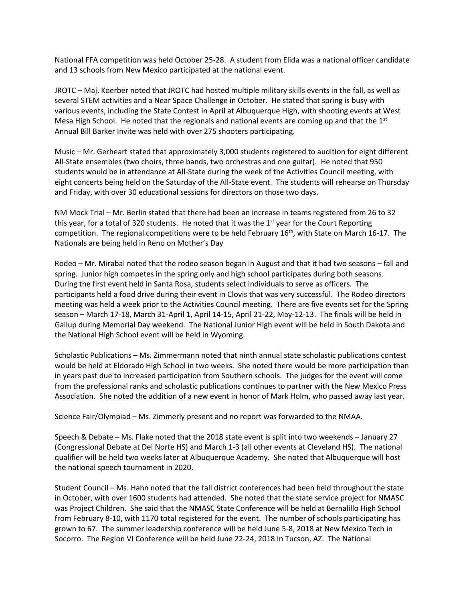National FFA competition was held October 25-28. A student from Elida was a national officer candidate and 13 schools from New Mexico participated at the national event.

JROTC – Maj. Koerber noted that JROTC had hosted multiple military skills events in the fall, as well as several STEM activities and a Near Space Challenge in October. He stated that spring is busy with various events, including the State Contest in April at Albuquerque High, with shooting events at West Mesa High School. He noted that the regionals and national events are coming up and that the  $1<sup>st</sup>$ Annual Bill Barker Invite was held with over 275 shooters participating.

Music – Mr. Gerheart stated that approximately 3,000 students registered to audition for eight different All-State ensembles (two choirs, three bands, two orchestras and one guitar). He noted that 950 students would be in attendance at All-State during the week of the Activities Council meeting, with eight concerts being held on the Saturday of the All-State event. The students will rehearse on Thursday and Friday, with over 30 educational sessions for directors on those two days.

NM Mock Trial – Mr. Berlin stated that there had been an increase in teams registered from 26 to 32 this year, for a total of 320 students. He noted that it was the  $1<sup>st</sup>$  year for the Court Reporting competition. The regional competitions were to be held February  $16<sup>th</sup>$ , with State on March 16-17. The Nationals are being held in Reno on Mother's Day

Rodeo – Mr. Mirabal noted that the rodeo season began in August and that it had two seasons – fall and spring. Junior high competes in the spring only and high school participates during both seasons. During the first event held in Santa Rosa, students select individuals to serve as officers. The participants held a food drive during their event in Clovis that was very successful. The Rodeo directors meeting was held a week prior to the Activities Council meeting. There are five events set for the Spring season – March 17-18, March 31-April 1, April 14-15, April 21-22, May-12-13. The finals will be held in Gallup during Memorial Day weekend. The National Junior High event will be held in South Dakota and the National High School event will be held in Wyoming.

Scholastic Publications – Ms. Zimmermann noted that ninth annual state scholastic publications contest would be held at Eldorado High School in two weeks. She noted there would be more participation than in years past due to increased participation from Southern schools. The judges for the event will come from the professional ranks and scholastic publications continues to partner with the New Mexico Press Association. She noted the addition of a new event in honor of Mark Holm, who passed away last year.

Science Fair/Olympiad – Ms. Zimmerly present and no report was forwarded to the NMAA.

Speech & Debate – Ms. Flake noted that the 2018 state event is split into two weekends – January 27 (Congressional Debate at Del Norte HS) and March 1-3 (all other events at Cleveland HS). The national qualifier will be held two weeks later at Albuquerque Academy. She noted that Albuquerque will host the national speech tournament in 2020.

Student Council – Ms. Hahn noted that the fall district conferences had been held throughout the state in October, with over 1600 students had attended. She noted that the state service project for NMASC was Project Children. She said that the NMASC State Conference will be held at Bernalillo High School from February 8-10, with 1170 total registered for the event. The number of schools participating has grown to 67. The summer leadership conference will be held June 5-8, 2018 at New Mexico Tech in Socorro. The Region VI Conference will be held June 22-24, 2018 in Tucson, AZ. The National